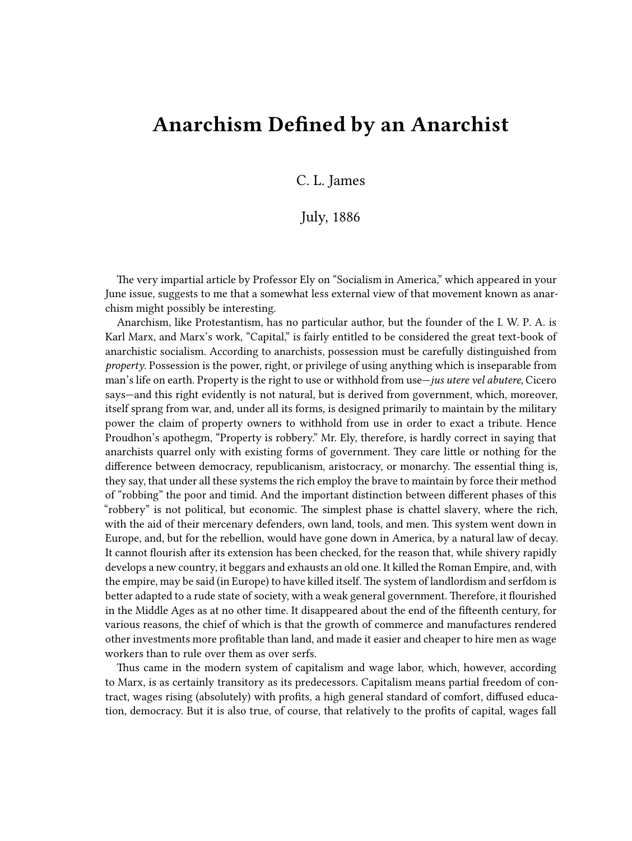## **Anarchism Defined by an Anarchist**

## C. L. James

## July, 1886

The very impartial article by Professor Ely on "Socialism in America," which appeared in your June issue, suggests to me that a somewhat less external view of that movement known as anarchism might possibly be interesting.

Anarchism, like Protestantism, has no particular author, but the founder of the I. W. P. A. is Karl Marx, and Marx's work, "Capital," is fairly entitled to be considered the great text-book of anarchistic socialism. According to anarchists, possession must be carefully distinguished from *property*. Possession is the power, right, or privilege of using anything which is inseparable from man's life on earth. Property is the right to use or withhold from use—*jus utere vel abutere*, Cicero says—and this right evidently is not natural, but is derived from government, which, moreover, itself sprang from war, and, under all its forms, is designed primarily to maintain by the military power the claim of property owners to withhold from use in order to exact a tribute. Hence Proudhon's apothegm, "Property is robbery." Mr. Ely, therefore, is hardly correct in saying that anarchists quarrel only with existing forms of government. They care little or nothing for the difference between democracy, republicanism, aristocracy, or monarchy. The essential thing is, they say, that under all these systems the rich employ the brave to maintain by force their method of "robbing" the poor and timid. And the important distinction between different phases of this "robbery" is not political, but economic. The simplest phase is chattel slavery, where the rich, with the aid of their mercenary defenders, own land, tools, and men. This system went down in Europe, and, but for the rebellion, would have gone down in America, by a natural law of decay. It cannot flourish after its extension has been checked, for the reason that, while shivery rapidly develops a new country, it beggars and exhausts an old one. It killed the Roman Empire, and, with the empire, may be said (in Europe) to have killed itself. The system of landlordism and serfdom is better adapted to a rude state of society, with a weak general government. Therefore, it flourished in the Middle Ages as at no other time. It disappeared about the end of the fifteenth century, for various reasons, the chief of which is that the growth of commerce and manufactures rendered other investments more profitable than land, and made it easier and cheaper to hire men as wage workers than to rule over them as over serfs.

Thus came in the modern system of capitalism and wage labor, which, however, according to Marx, is as certainly transitory as its predecessors. Capitalism means partial freedom of contract, wages rising (absolutely) with profits, a high general standard of comfort, diffused education, democracy. But it is also true, of course, that relatively to the profits of capital, wages fall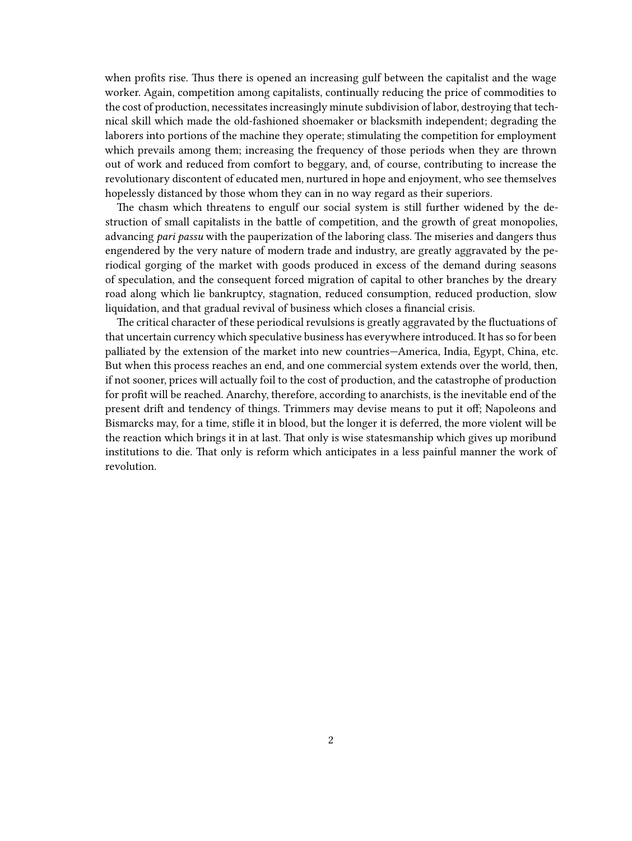when profits rise. Thus there is opened an increasing gulf between the capitalist and the wage worker. Again, competition among capitalists, continually reducing the price of commodities to the cost of production, necessitates increasingly minute subdivision of labor, destroying that technical skill which made the old-fashioned shoemaker or blacksmith independent; degrading the laborers into portions of the machine they operate; stimulating the competition for employment which prevails among them; increasing the frequency of those periods when they are thrown out of work and reduced from comfort to beggary, and, of course, contributing to increase the revolutionary discontent of educated men, nurtured in hope and enjoyment, who see themselves hopelessly distanced by those whom they can in no way regard as their superiors.

The chasm which threatens to engulf our social system is still further widened by the destruction of small capitalists in the battle of competition, and the growth of great monopolies, advancing *pari passu* with the pauperization of the laboring class. The miseries and dangers thus engendered by the very nature of modern trade and industry, are greatly aggravated by the periodical gorging of the market with goods produced in excess of the demand during seasons of speculation, and the consequent forced migration of capital to other branches by the dreary road along which lie bankruptcy, stagnation, reduced consumption, reduced production, slow liquidation, and that gradual revival of business which closes a financial crisis.

The critical character of these periodical revulsions is greatly aggravated by the fluctuations of that uncertain currency which speculative business has everywhere introduced. It has so for been palliated by the extension of the market into new countries—America, India, Egypt, China, etc. But when this process reaches an end, and one commercial system extends over the world, then, if not sooner, prices will actually foil to the cost of production, and the catastrophe of production for profit will be reached. Anarchy, therefore, according to anarchists, is the inevitable end of the present drift and tendency of things. Trimmers may devise means to put it off; Napoleons and Bismarcks may, for a time, stifle it in blood, but the longer it is deferred, the more violent will be the reaction which brings it in at last. That only is wise statesmanship which gives up moribund institutions to die. That only is reform which anticipates in a less painful manner the work of revolution.